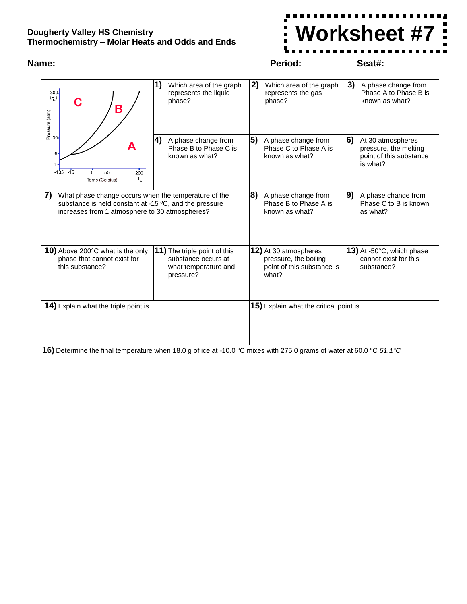## **Dougherty Valley HS Chemistry Thermochemistry – Molar Heats and Odds and Ends**



## **Name: Period: Seat#: 2)** Which area of the graph **1)** Which area of the graph **3)** A phase change from  $\frac{300}{P_C}$ represents the liquid represents the gas Phase A to Phase B is C phase? known as what? phase? Pressure (atm)<br>မ္ **5)** A phase change from **4)** A phase change from **6)** At 30 atmospheres Phase B to Phase C is Phase C to Phase A is pressure, the melting 6 known as what? known as what? point of this substance is what?  $-105$  $-15$  $\overline{6}$  $50$  $200$  $T_{\rm c}$ Temp (Celsius) **8)** A phase change from **9)** A phase change from **7)** What phase change occurs when the temperature of the substance is held constant at -15 ºC, and the pressure Phase B to Phase A is Phase C to B is known increases from 1 atmosphere to 30 atmospheres? known as what? as what? **11)** The triple point of this **10)** Above 200°C what is the only **12)** At 30 atmospheres **13)** At -50°C, which phase phase that cannot exist for substance occurs at pressure, the boiling cannot exist for this this substance? what temperature and point of this substance is substance? pressure? what? **14)** Explain what the triple point is. **15)** Explain what the critical point is. **16)** Determine the final temperature when 18.0 g of ice at -10.0 °C mixes with 275.0 grams of water at 60.0 °C *51.1°C*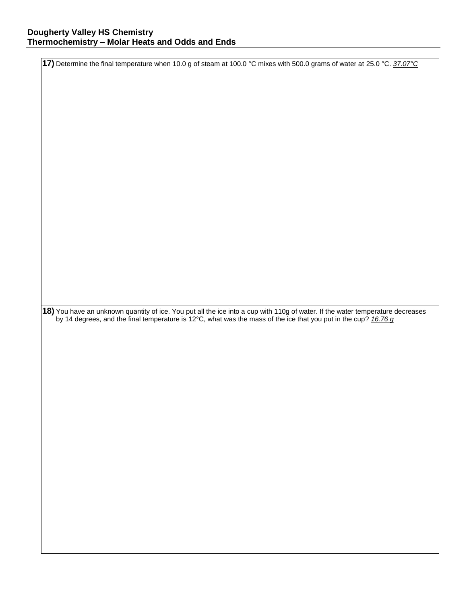**17)** Determine the final temperature when 10.0 g of steam at 100.0 °C mixes with 500.0 grams of water at 25.0 °C. *37.07°C* **18)** You have an unknown quantity of ice. You put all the ice into a cup with 110g of water. If the water temperature decreases by 14 degrees, and the final temperature is 12°C, what was the mass of the ice that you put in the cup? *16.76 g*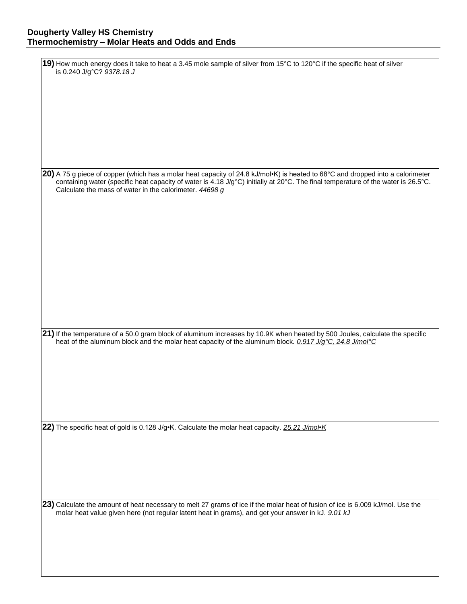| 19) How much energy does it take to heat a 3.45 mole sample of silver from 15°C to 120°C if the specific heat of silver<br>is 0.240 J/g°C? 9378.18 J                                                                                                                                                                           |
|--------------------------------------------------------------------------------------------------------------------------------------------------------------------------------------------------------------------------------------------------------------------------------------------------------------------------------|
|                                                                                                                                                                                                                                                                                                                                |
|                                                                                                                                                                                                                                                                                                                                |
|                                                                                                                                                                                                                                                                                                                                |
|                                                                                                                                                                                                                                                                                                                                |
| 20) A 75 g piece of copper (which has a molar heat capacity of 24.8 kJ/mol·K) is heated to 68°C and dropped into a calorimeter<br>containing water (specific heat capacity of water is 4.18 J/g°C) initially at 20°C. The final temperature of the water is 26.5°C.<br>Calculate the mass of water in the calorimeter. 44698 g |
|                                                                                                                                                                                                                                                                                                                                |
|                                                                                                                                                                                                                                                                                                                                |
|                                                                                                                                                                                                                                                                                                                                |
|                                                                                                                                                                                                                                                                                                                                |
|                                                                                                                                                                                                                                                                                                                                |
| 21) If the temperature of a 50.0 gram block of aluminum increases by 10.9K when heated by 500 Joules, calculate the specific                                                                                                                                                                                                   |
| heat of the aluminum block and the molar heat capacity of the aluminum block. 0.917 J/g°C, 24.8 J/mol°C                                                                                                                                                                                                                        |
|                                                                                                                                                                                                                                                                                                                                |
|                                                                                                                                                                                                                                                                                                                                |
| 22) The specific heat of gold is 0.128 J/g•K. Calculate the molar heat capacity. 25.21 J/mol•K                                                                                                                                                                                                                                 |
|                                                                                                                                                                                                                                                                                                                                |
|                                                                                                                                                                                                                                                                                                                                |
|                                                                                                                                                                                                                                                                                                                                |
| 23) Calculate the amount of heat necessary to melt 27 grams of ice if the molar heat of fusion of ice is 6.009 kJ/mol. Use the<br>molar heat value given here (not regular latent heat in grams), and get your answer in kJ. 9.01 kJ                                                                                           |
|                                                                                                                                                                                                                                                                                                                                |
|                                                                                                                                                                                                                                                                                                                                |